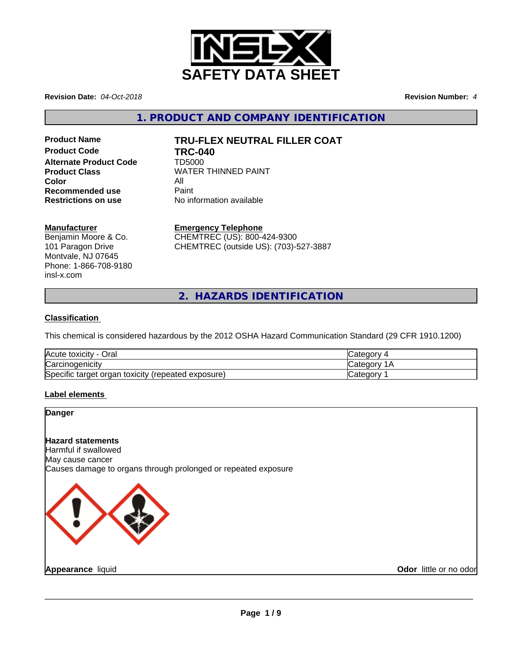

**Revision Date:** *04-Oct-2018* **Revision Number:** *4*

**1. PRODUCT AND COMPANY IDENTIFICATION**

**Product Code TRC-040 Alternate Product Code** TD5000 **Color** All All<br>**Recommended use** Paint **Recommended use**<br>Restrictions on use

# **Product Name TRU-FLEX NEUTRAL FILLER COAT**

**Product Class WATER THINNED PAINT Restrictions on use** No information available

# **Manufacturer**

Benjamin Moore & Co. 101 Paragon Drive Montvale, NJ 07645 Phone: 1-866-708-9180 insl-x.com

**Emergency Telephone**

CHEMTREC (US): 800-424-9300 CHEMTREC (outside US): (703)-527-3887

**2. HAZARDS IDENTIFICATION**

# **Classification**

This chemical is considered hazardous by the 2012 OSHA Hazard Communication Standard (29 CFR 1910.1200)

| Acute toxicity -<br>Oral                              | Categor <sup>'</sup> |
|-------------------------------------------------------|----------------------|
| Carcinogenicity                                       | √ategorٽ             |
| Specific target organ toxicity<br>(repeated exposure) | Categor∨             |

# **Label elements**

# **Danger**

# **Hazard statements**

Harmful if swallowed May cause cancer Causes damage to organs through prolonged or repeated exposure

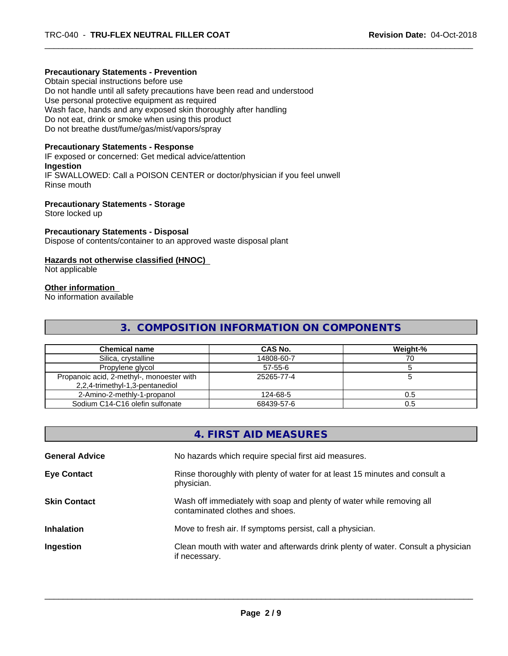# **Precautionary Statements - Prevention**

Obtain special instructions before use Do not handle until all safety precautions have been read and understood Use personal protective equipment as required Wash face, hands and any exposed skin thoroughly after handling Do not eat, drink or smoke when using this product Do not breathe dust/fume/gas/mist/vapors/spray

#### **Precautionary Statements - Response**

IF exposed or concerned: Get medical advice/attention **Ingestion** IF SWALLOWED: Call a POISON CENTER or doctor/physician if you feel unwell Rinse mouth

#### **Precautionary Statements - Storage**

Store locked up

# **Precautionary Statements - Disposal**

Dispose of contents/container to an approved waste disposal plant

#### **Hazards not otherwise classified (HNOC)**

Not applicable

#### **Other information**

No information available

# **3. COMPOSITION INFORMATION ON COMPONENTS**

| <b>Chemical name</b>                      | CAS No.       | Weight-% |
|-------------------------------------------|---------------|----------|
| Silica, crystalline                       | 14808-60-7    |          |
| Propylene glycol                          | $57 - 55 - 6$ |          |
| Propanoic acid, 2-methyl-, monoester with | 25265-77-4    |          |
| 2,2,4-trimethyl-1,3-pentanediol           |               |          |
| 2-Amino-2-methly-1-propanol               | 124-68-5      | 0.5      |
| Sodium C14-C16 olefin sulfonate           | 68439-57-6    | 0.5      |

|                       | 4. FIRST AID MEASURES                                                                                    |
|-----------------------|----------------------------------------------------------------------------------------------------------|
| <b>General Advice</b> | No hazards which require special first aid measures.                                                     |
| <b>Eye Contact</b>    | Rinse thoroughly with plenty of water for at least 15 minutes and consult a<br>physician.                |
| <b>Skin Contact</b>   | Wash off immediately with soap and plenty of water while removing all<br>contaminated clothes and shoes. |
| <b>Inhalation</b>     | Move to fresh air. If symptoms persist, call a physician.                                                |
| Ingestion             | Clean mouth with water and afterwards drink plenty of water. Consult a physician<br>if necessary.        |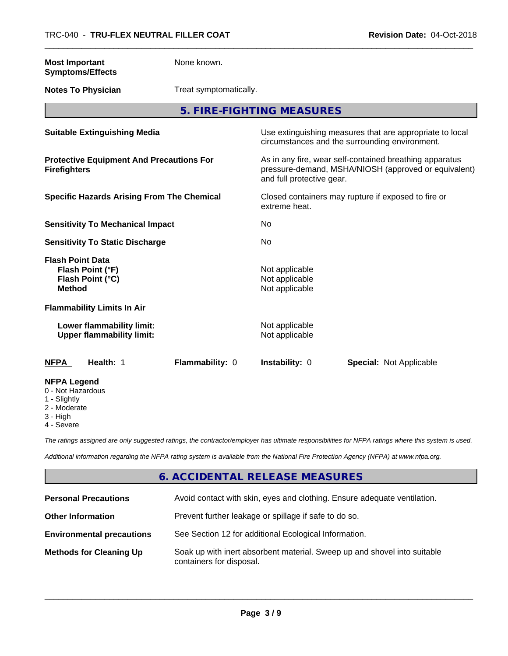| <b>Most Important</b><br><b>Symptoms/Effects</b>                                                  | None known.            |                                                    |                                                                                                                 |
|---------------------------------------------------------------------------------------------------|------------------------|----------------------------------------------------|-----------------------------------------------------------------------------------------------------------------|
| <b>Notes To Physician</b>                                                                         | Treat symptomatically. |                                                    |                                                                                                                 |
|                                                                                                   |                        | 5. FIRE-FIGHTING MEASURES                          |                                                                                                                 |
| <b>Suitable Extinguishing Media</b>                                                               |                        |                                                    | Use extinguishing measures that are appropriate to local<br>circumstances and the surrounding environment.      |
| <b>Protective Equipment And Precautions For</b><br><b>Firefighters</b>                            |                        | and full protective gear.                          | As in any fire, wear self-contained breathing apparatus<br>pressure-demand, MSHA/NIOSH (approved or equivalent) |
| <b>Specific Hazards Arising From The Chemical</b>                                                 |                        | extreme heat.                                      | Closed containers may rupture if exposed to fire or                                                             |
| <b>Sensitivity To Mechanical Impact</b>                                                           |                        | No                                                 |                                                                                                                 |
| <b>Sensitivity To Static Discharge</b>                                                            |                        | No                                                 |                                                                                                                 |
| <b>Flash Point Data</b><br>Flash Point (°F)<br>Flash Point (°C)<br><b>Method</b>                  |                        | Not applicable<br>Not applicable<br>Not applicable |                                                                                                                 |
| <b>Flammability Limits In Air</b>                                                                 |                        |                                                    |                                                                                                                 |
| Lower flammability limit:<br><b>Upper flammability limit:</b>                                     |                        | Not applicable<br>Not applicable                   |                                                                                                                 |
| Health: 1<br><b>NFPA</b>                                                                          | Flammability: 0        | Instability: 0                                     | <b>Special: Not Applicable</b>                                                                                  |
| <b>NFPA Legend</b><br>0 - Not Hazardous<br>1 - Slightly<br>2 - Moderate<br>3 - High<br>4 - Severe |                        |                                                    |                                                                                                                 |

*The ratings assigned are only suggested ratings, the contractor/employer has ultimate responsibilities for NFPA ratings where this system is used.*

*Additional information regarding the NFPA rating system is available from the National Fire Protection Agency (NFPA) at www.nfpa.org.*

# **6. ACCIDENTAL RELEASE MEASURES**

| <b>Personal Precautions</b>      | Avoid contact with skin, eyes and clothing. Ensure adequate ventilation.                             |
|----------------------------------|------------------------------------------------------------------------------------------------------|
| <b>Other Information</b>         | Prevent further leakage or spillage if safe to do so.                                                |
| <b>Environmental precautions</b> | See Section 12 for additional Ecological Information.                                                |
| <b>Methods for Cleaning Up</b>   | Soak up with inert absorbent material. Sweep up and shovel into suitable<br>containers for disposal. |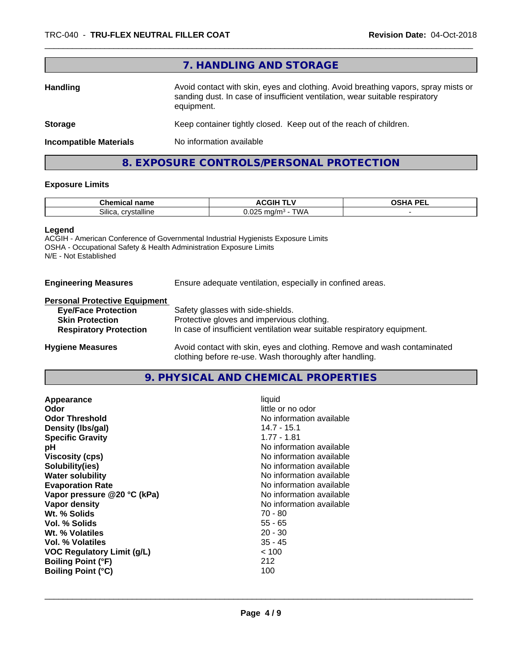|                               | 7. HANDLING AND STORAGE                                                                                                                                                          |
|-------------------------------|----------------------------------------------------------------------------------------------------------------------------------------------------------------------------------|
| <b>Handling</b>               | Avoid contact with skin, eyes and clothing. Avoid breathing vapors, spray mists or<br>sanding dust. In case of insufficient ventilation, wear suitable respiratory<br>equipment. |
| <b>Storage</b>                | Keep container tightly closed. Keep out of the reach of children.                                                                                                                |
| <b>Incompatible Materials</b> | No information available                                                                                                                                                         |

# **8. EXPOSURE CONTROLS/PERSONAL PROTECTION**

# **Exposure Limits**

| $\sim$<br>name<br>uher –<br>emical |                                                                                          | <b>DEI</b><br><br>-- |
|------------------------------------|------------------------------------------------------------------------------------------|----------------------|
| crystalline<br>~…<br>∴ollica       | <b>TWA</b><br>$\sim$<br>ma/m <sup>3</sup><br>$\sim$ Uz .<br><b>v</b> v <i>i</i> 1<br>- - |                      |

#### **Legend**

ACGIH - American Conference of Governmental Industrial Hygienists Exposure Limits OSHA - Occupational Safety & Health Administration Exposure Limits N/E - Not Established

**Engineering Measures** Ensure adequate ventilation, especially in confined areas.

# **Personal Protective Equipment**

| <b>Eye/Face Protection</b>    | Safety glasses with side-shields.                                        |
|-------------------------------|--------------------------------------------------------------------------|
| <b>Skin Protection</b>        | Protective gloves and impervious clothing.                               |
| <b>Respiratory Protection</b> | In case of insufficient ventilation wear suitable respiratory equipment. |
| <b>Llugiana Magauran</b>      | buoid contact with align avec and alathing. Bemove and week contaminated |

**Hygiene Measures** Avoid contact with skin, eyes and clothing. Remove and wash contaminated clothing before re-use. Wash thoroughly after handling.

# **9. PHYSICAL AND CHEMICAL PROPERTIES**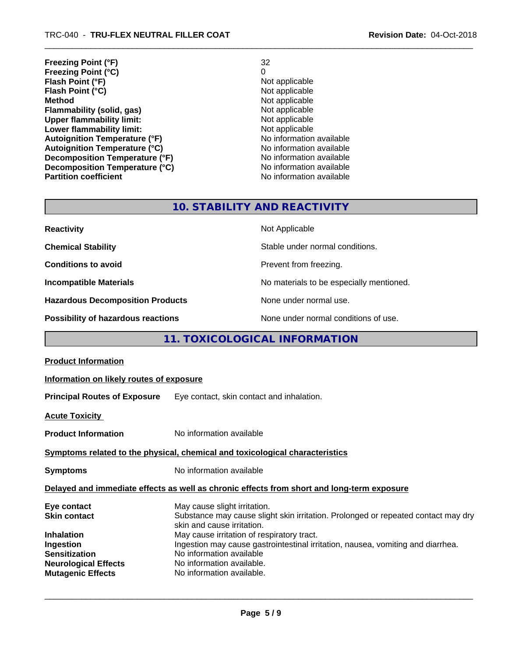**Freezing Point (°F)** 32 **Freezing Point (°C)** 0 **Flash Point (°F)**<br> **Flash Point (°C)**<br> **Flash Point (°C)**<br> **C Flash Point (°C) Method** Not applicable<br> **Flammability (solid, gas)** Not applicable Not applicable **Flammability (solid, gas)**<br> **Upper flammability limit:**<br>
Upper flammability limit: **Upper flammability limit:**<br> **Lower flammability limit:**<br>
Not applicable<br>
Not applicable **Lower flammability limit:**<br> **Autoignition Temperature (°F)** Not applicable available and the Mustafable and Mustafable and Mustafable and Mu **Autoignition Temperature (°F)**<br> **Autoignition Temperature (°C)** No information available **Autoignition Temperature (°C) Decomposition Temperature (°F)**<br> **Decomposition Temperature (°C)**<br>
No information available **Decomposition Temperature (°C)**<br>Partition coefficient

**No information available** 

# **10. STABILITY AND REACTIVITY**

| <b>Reactivity</b>                         | Not Applicable                           |
|-------------------------------------------|------------------------------------------|
| <b>Chemical Stability</b>                 | Stable under normal conditions.          |
| <b>Conditions to avoid</b>                | Prevent from freezing.                   |
| <b>Incompatible Materials</b>             | No materials to be especially mentioned. |
| <b>Hazardous Decomposition Products</b>   | None under normal use.                   |
| <b>Possibility of hazardous reactions</b> | None under normal conditions of use.     |

# **11. TOXICOLOGICAL INFORMATION**

| <b>Product Information</b>                                                                                                  |                                                                                                                                                                                                                                                                                                                                           |  |  |
|-----------------------------------------------------------------------------------------------------------------------------|-------------------------------------------------------------------------------------------------------------------------------------------------------------------------------------------------------------------------------------------------------------------------------------------------------------------------------------------|--|--|
| Information on likely routes of exposure                                                                                    |                                                                                                                                                                                                                                                                                                                                           |  |  |
|                                                                                                                             | <b>Principal Routes of Exposure</b> Eye contact, skin contact and inhalation.                                                                                                                                                                                                                                                             |  |  |
| <b>Acute Toxicity</b>                                                                                                       |                                                                                                                                                                                                                                                                                                                                           |  |  |
| <b>Product Information</b>                                                                                                  | No information available                                                                                                                                                                                                                                                                                                                  |  |  |
| Symptoms related to the physical, chemical and toxicological characteristics                                                |                                                                                                                                                                                                                                                                                                                                           |  |  |
| <b>Symptoms</b>                                                                                                             | No information available                                                                                                                                                                                                                                                                                                                  |  |  |
| Delayed and immediate effects as well as chronic effects from short and long-term exposure                                  |                                                                                                                                                                                                                                                                                                                                           |  |  |
| Eye contact<br><b>Skin contact</b><br><b>Inhalation</b><br>Ingestion<br><b>Sensitization</b><br><b>Neurological Effects</b> | May cause slight irritation.<br>Substance may cause slight skin irritation. Prolonged or repeated contact may dry<br>skin and cause irritation.<br>May cause irritation of respiratory tract.<br>Ingestion may cause gastrointestinal irritation, nausea, vomiting and diarrhea.<br>No information available<br>No information available. |  |  |
| <b>Mutagenic Effects</b>                                                                                                    | No information available.                                                                                                                                                                                                                                                                                                                 |  |  |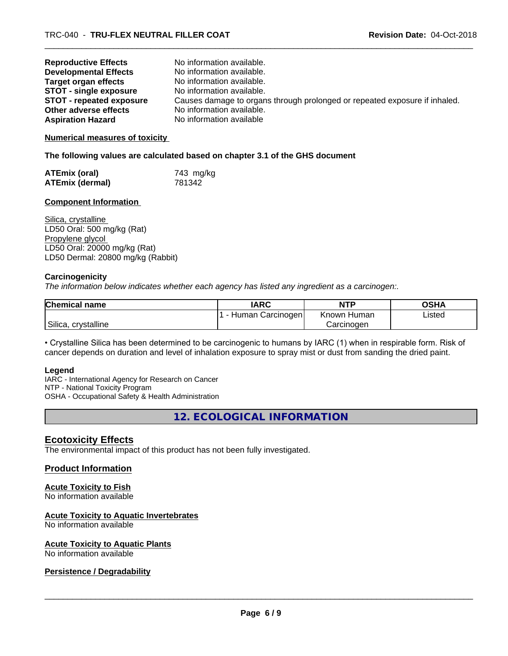| <b>Reproductive Effects</b>     | No information available.                                                  |
|---------------------------------|----------------------------------------------------------------------------|
| <b>Developmental Effects</b>    | No information available.                                                  |
| <b>Target organ effects</b>     | No information available.                                                  |
| <b>STOT - single exposure</b>   | No information available.                                                  |
| <b>STOT - repeated exposure</b> | Causes damage to organs through prolonged or repeated exposure if inhaled. |
| Other adverse effects           | No information available.                                                  |
| <b>Aspiration Hazard</b>        | No information available                                                   |

#### **Numerical measures of toxicity**

**The following values are calculated based on chapter 3.1 of the GHS document**

| <b>ATEmix (oral)</b>   | 743 mg/kg |
|------------------------|-----------|
| <b>ATEmix (dermal)</b> | 781342    |

# **Component Information**

Silica, crystalline LD50 Oral: 500 mg/kg (Rat) Propylene glycol LD50 Oral: 20000 mg/kg (Rat) LD50 Dermal: 20800 mg/kg (Rabbit)

#### **Carcinogenicity**

*The information below indicateswhether each agency has listed any ingredient as a carcinogen:.*

| <b>Chemical name</b>   | <b>IARC</b>      | <b>NTP</b>            | <b>OSHA</b> |
|------------------------|------------------|-----------------------|-------------|
|                        | Human Carcinogen | <b>Known</b><br>Humar | Listed      |
| Silica,<br>crystalline |                  | Carcinogen            |             |

• Crystalline Silica has been determined to be carcinogenic to humans by IARC (1) when in respirable form. Risk of cancer depends on duration and level of inhalation exposure to spray mist or dust from sanding the dried paint.

#### **Legend**

IARC - International Agency for Research on Cancer NTP - National Toxicity Program OSHA - Occupational Safety & Health Administration

**12. ECOLOGICAL INFORMATION**

# **Ecotoxicity Effects**

The environmental impact of this product has not been fully investigated.

# **Product Information**

# **Acute Toxicity to Fish**

No information available

# **Acute Toxicity to Aquatic Invertebrates**

No information available

# **Acute Toxicity to Aquatic Plants**

No information available

# **Persistence / Degradability**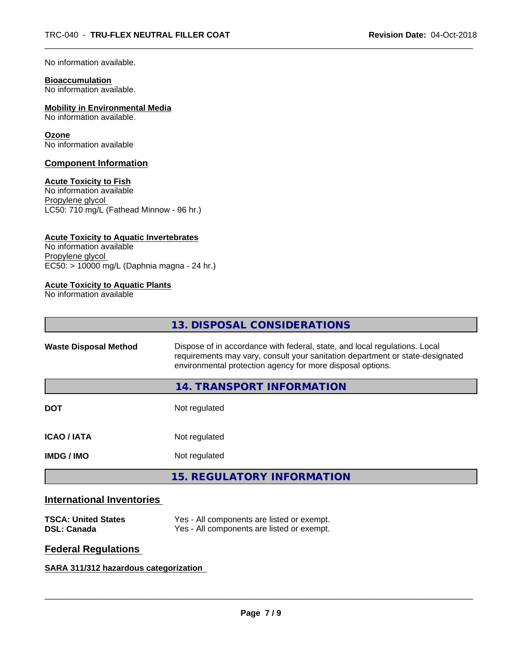No information available.

# **Bioaccumulation**

No information available.

# **Mobility in Environmental Media**

No information available.

# **Ozone**

No information available

# **Component Information**

# **Acute Toxicity to Fish**

No information available Propylene glycol LC50: 710 mg/L (Fathead Minnow - 96 hr.)

# **Acute Toxicity to Aquatic Invertebrates**

No information available Propylene glycol EC50: > 10000 mg/L (Daphnia magna - 24 hr.)

# **Acute Toxicity to Aquatic Plants**

No information available

|                              | 13. DISPOSAL CONSIDERATIONS                                                                                                                                                                                               |
|------------------------------|---------------------------------------------------------------------------------------------------------------------------------------------------------------------------------------------------------------------------|
| <b>Waste Disposal Method</b> | Dispose of in accordance with federal, state, and local regulations. Local<br>requirements may vary, consult your sanitation department or state-designated<br>environmental protection agency for more disposal options. |
|                              | 14. TRANSPORT INFORMATION                                                                                                                                                                                                 |
| <b>DOT</b>                   | Not regulated                                                                                                                                                                                                             |
| <b>ICAO/IATA</b>             | Not regulated                                                                                                                                                                                                             |
| <b>IMDG/IMO</b>              | Not regulated                                                                                                                                                                                                             |
|                              | 15. REGULATORY INFORMATION                                                                                                                                                                                                |
|                              |                                                                                                                                                                                                                           |

# **International Inventories**

| <b>TSCA: United States</b> | Yes - All components are listed or exempt. |
|----------------------------|--------------------------------------------|
| <b>DSL: Canada</b>         | Yes - All components are listed or exempt. |

# **Federal Regulations**

# **SARA 311/312 hazardous categorization**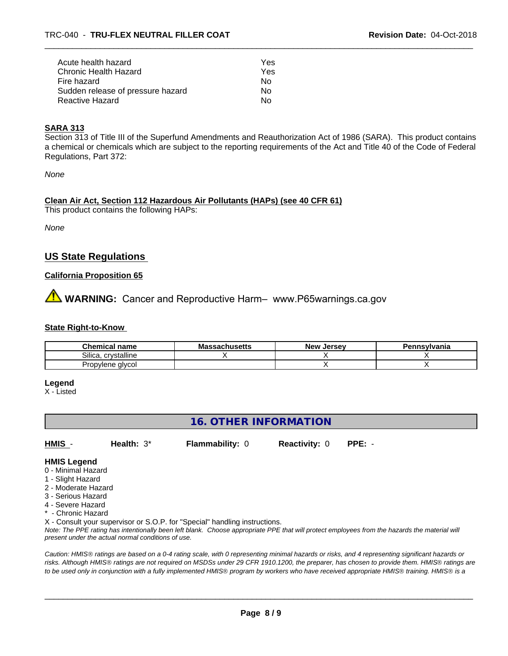| Acute health hazard               | Yes |  |
|-----------------------------------|-----|--|
| Chronic Health Hazard             | Yes |  |
| Fire hazard                       | N٥  |  |
| Sudden release of pressure hazard | Nο  |  |
| Reactive Hazard                   | Nο  |  |

#### **SARA 313**

Section 313 of Title III of the Superfund Amendments and Reauthorization Act of 1986 (SARA). This product contains a chemical or chemicals which are subject to the reporting requirements of the Act and Title 40 of the Code of Federal Regulations, Part 372:

*None*

#### **Clean Air Act,Section 112 Hazardous Air Pollutants (HAPs) (see 40 CFR 61)**

This product contains the following HAPs:

*None*

# **US State Regulations**

# **California Proposition 65**

**WARNING:** Cancer and Reproductive Harm– www.P65warnings.ca.gov

#### **State Right-to-Know**

| Chemical<br>name                       | ssachusetts<br>ма | . Jersev<br><b>New</b> | <b>Insvlvania</b> |
|----------------------------------------|-------------------|------------------------|-------------------|
| crystalline<br>Silica                  |                   |                        |                   |
| alvcol<br>1500<br>rop\<br>יוכו וכ<br>. |                   |                        |                   |

# **Legend**

X - Listed

# **16. OTHER INFORMATION**

**HMIS** - **Health:** 3\* **Flammability:** 0 **Reactivity:** 0 **PPE:** -

# **HMIS Legend**

- 0 Minimal Hazard
- 1 Slight Hazard
- 2 Moderate Hazard
- 3 Serious Hazard
- 4 Severe Hazard
- \* Chronic Hazard

X - Consult your supervisor or S.O.P. for "Special" handling instructions.

*Note: The PPE rating has intentionally been left blank. Choose appropriate PPE that will protect employees from the hazards the material will present under the actual normal conditions of use.*

*Caution: HMISÒ ratings are based on a 0-4 rating scale, with 0 representing minimal hazards or risks, and 4 representing significant hazards or risks. Although HMISÒ ratings are not required on MSDSs under 29 CFR 1910.1200, the preparer, has chosen to provide them. HMISÒ ratings are to be used only in conjunction with a fully implemented HMISÒ program by workers who have received appropriate HMISÒ training. HMISÒ is a*